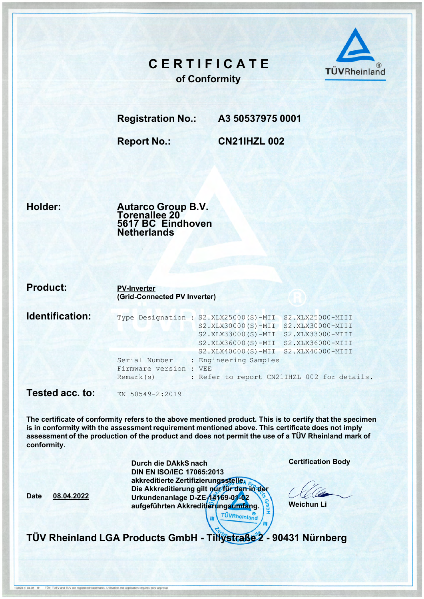## CERTIFICATE of Conformity



Registration No.: A3 50537975 0001

Report No.: CN21IHZL 002

Holder:

Date 08.04.2022

0/020 d 04.08 <sup>®</sup> TŪV, TUEV and TUV are registered trademarks. Utilisation and application requires prior approval

Autarco Group B.V. Torenallee 20 5617 BC Eindhoven Netherlands

| <b>Product:</b> | <b>PV-Inverter</b><br>(Grid-Connected PV Inverter)                                                                                                                                                                                                                                                                                                                  |  |  |  |
|-----------------|---------------------------------------------------------------------------------------------------------------------------------------------------------------------------------------------------------------------------------------------------------------------------------------------------------------------------------------------------------------------|--|--|--|
| Identification: | Type Designation : S2.XLX25000(S)-MII<br>S2.XLX25000-MIII<br>$S2. XLX30000(S) - MIT$<br>S2.XLX30000-MIII<br>S2.XLX33000(S)-MII<br>S2.XLX33000-MIII<br>S2.XLX36000(S)-MII<br>S2.XLX36000-MIII<br>S2.XLX40000(S)-MII S2.XLX40000-MIII<br>: Engineering Samples<br>Serial Number<br>Firmware version : VEE<br>: Refer to report CN21IHZL 002 for details.<br>Remark(s) |  |  |  |
| Tested acc. to: | EN 50549-2:2019                                                                                                                                                                                                                                                                                                                                                     |  |  |  |

The certificate of conformity refers to the above mentioned product. This is to certify that the specimen is in conformity with the assessment requirement mentioned above. This certificate does not imply assessment of the production of the product and does not permit the use of a TÜV Rheinland mark of conformity.

| Durch die DAkkS nach                               |                    |  |
|----------------------------------------------------|--------------------|--|
| <b>DIN EN ISO/IEC 17065:2013</b>                   |                    |  |
| akkreditierte Zertifizierungssteller               |                    |  |
| Die Akkreditierung gilt nur für den in der         |                    |  |
| Urkundenanlage D-ZE-14169-01-02                    |                    |  |
| aufgeführten Akkredit <mark>ierungsumfa</mark> ng. |                    |  |
|                                                    | <b>ÚVRheinland</b> |  |

Certification Body

Weichun Li

TÜV Rheinland LGA Products GmbH - Tillystraße 2 - 90431 Nürnberg